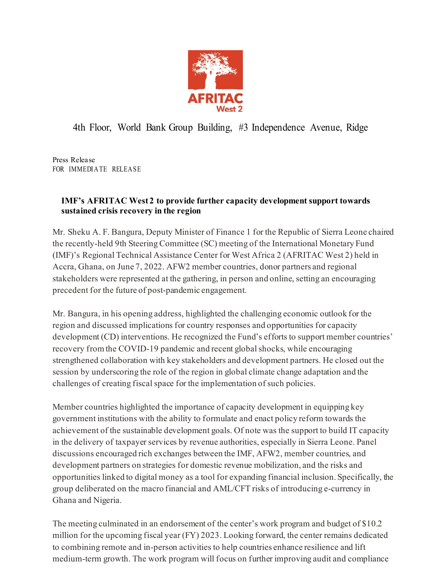

## 4th Floor, World Bank Group Building, #3 Independence Avenue, Ridge

Press Release FOR IMMEDIATE RELEASE

## **IMF's AFRITAC West 2 to provide further capacity development support towards sustained crisis recovery in the region**

Mr. Sheku A. F. Bangura, Deputy Minister of Finance 1 for the Republic of Sierra Leone chaired the recently-held 9th Steering Committee (SC) meeting of the International Monetary Fund (IMF)'s Regional Technical Assistance Center for West Africa 2 [\(AFRITAC West 2\)](https://www.afritacwest2.org/) held in Accra, Ghana, on June 7, 2022. AFW2 member countries, donor partners and regional stakeholders were represented at the gathering, in person and online, setting an encouraging precedent for the future of post-pandemic engagement.

Mr. Bangura, in his opening address, highlighted the challenging economic outlook for the region and discussed implications for country responses and opportunities for capacity development (CD) interventions. He recognized the Fund's efforts to support member countries' recovery from the COVID-19 pandemic and recent global shocks, while encouraging strengthened collaboration with key stakeholders and development partners. He closed out the session by underscoring the role of the region in global climate change adaptation and the challenges of creating fiscal space for the implementation of such policies.

Member countries highlighted the importance of capacity development in equipping key government institutions with the ability to formulate and enact policy reform towards the achievement of the sustainable development goals. Of note was the support to build IT capacity in the delivery of taxpayer services by revenue authorities, especially in Sierra Leone. Panel discussions encouraged rich exchanges between the IMF, AFW2, member countries, and development partners on strategies for domestic revenue mobilization, and the risks and opportunities linked to digital money as a tool for expanding financial inclusion. Specifically, the group deliberated on the macro financial and AML/CFT risks of introducing e-currency in Ghana and Nigeria.

The meeting culminated in an endorsement of the center's work program and budget of \$10.2 million for the upcoming fiscal year (FY) 2023. Looking forward, the center remains dedicated to combining remote and in-person activities to help countries enhance resilience and lift medium-term growth. The work program will focus on further improving audit and compliance